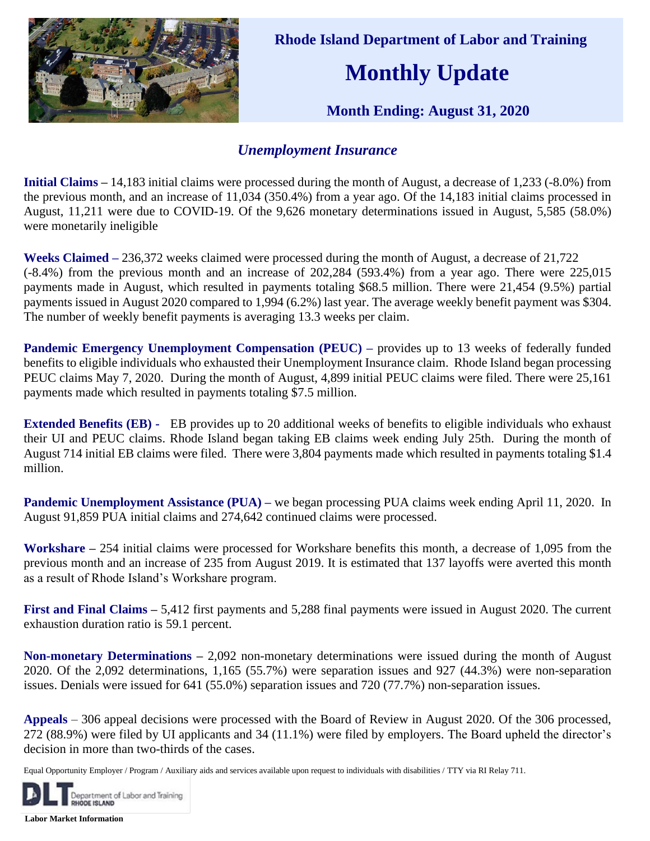

 **Rhode Island Department of Labor and Training**

## **Monthly Update**

 **Month Ending: August 31, 2020** 

## *Unemployment Insurance*

**Initial Claims –** 14,183 initial claims were processed during the month of August, a decrease of 1,233 (-8.0%) from the previous month, and an increase of 11,034 (350.4%) from a year ago. Of the 14,183 initial claims processed in August, 11,211 were due to COVID-19. Of the 9,626 monetary determinations issued in August, 5,585 (58.0%) were monetarily ineligible

**Weeks Claimed –** 236,372 weeks claimed were processed during the month of August, a decrease of 21,722 (-8.4%) from the previous month and an increase of 202,284 (593.4%) from a year ago. There were 225,015 payments made in August, which resulted in payments totaling \$68.5 million. There were 21,454 (9.5%) partial payments issued in August 2020 compared to 1,994 (6.2%) last year. The average weekly benefit payment was \$304. The number of weekly benefit payments is averaging 13.3 weeks per claim.

**Pandemic Emergency Unemployment Compensation (PEUC) – provides up to 13 weeks of federally funded** benefits to eligible individuals who exhausted their Unemployment Insurance claim. Rhode Island began processing PEUC claims May 7, 2020. During the month of August, 4,899 initial PEUC claims were filed. There were 25,161 payments made which resulted in payments totaling \$7.5 million.

**Extended Benefits (EB) -** EB provides up to 20 additional weeks of benefits to eligible individuals who exhaust their UI and PEUC claims. Rhode Island began taking EB claims week ending July 25th. During the month of August 714 initial EB claims were filed. There were 3,804 payments made which resulted in payments totaling \$1.4 million.

**Pandemic Unemployment Assistance (PUA) – we began processing PUA claims week ending April 11, 2020. In** August 91,859 PUA initial claims and 274,642 continued claims were processed.

**Workshare –** 254 initial claims were processed for Workshare benefits this month, a decrease of 1,095 from the previous month and an increase of 235 from August 2019. It is estimated that 137 layoffs were averted this month as a result of Rhode Island's Workshare program.

**First and Final Claims –** 5,412 first payments and 5,288 final payments were issued in August 2020. The current exhaustion duration ratio is 59.1 percent.

**Non-monetary Determinations –** 2,092 non-monetary determinations were issued during the month of August 2020. Of the 2,092 determinations, 1,165 (55.7%) were separation issues and 927 (44.3%) were non-separation issues. Denials were issued for 641 (55.0%) separation issues and 720 (77.7%) non-separation issues.

**Appeals** – 306 appeal decisions were processed with the Board of Review in August 2020. Of the 306 processed, 272 (88.9%) were filed by UI applicants and 34 (11.1%) were filed by employers. The Board upheld the director's decision in more than two-thirds of the cases.

Equal Opportunity Employer / Program / Auxiliary aids and services available upon request to individuals with disabilities / TTY via RI Relay 711.



**Labor Market Information**